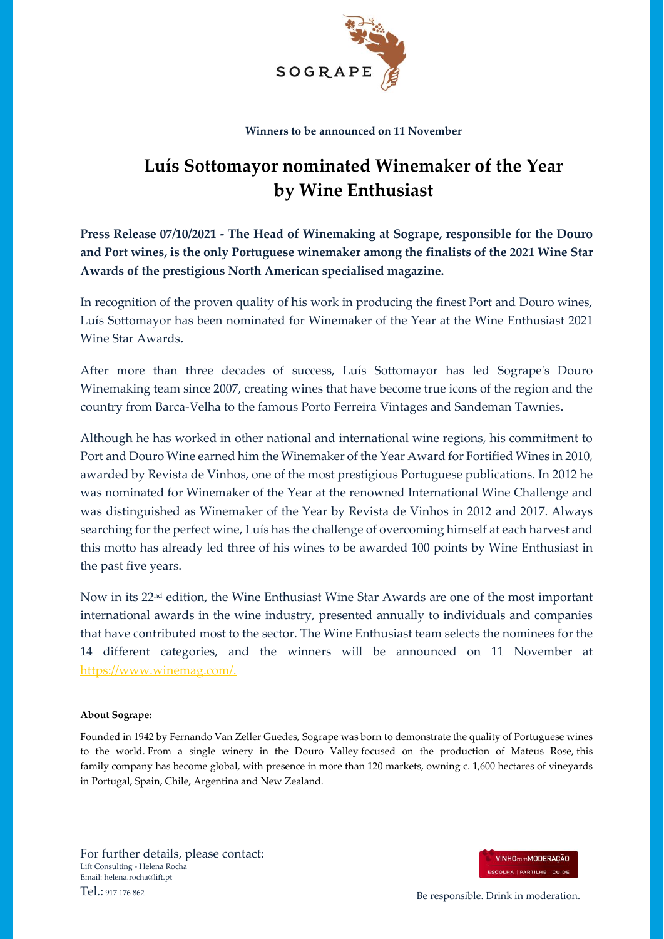

## **Winners to be announced on 11 November**

## **Luís Sottomayor nominated Winemaker of the Year by Wine Enthusiast**

**Press Release 07/10/2021 - The Head of Winemaking at Sogrape, responsible for the Douro and Port wines, is the only Portuguese winemaker among the finalists of the 2021 Wine Star Awards of the prestigious North American specialised magazine.** 

In recognition of the proven quality of his work in producing the finest Port and Douro wines, Luís Sottomayor has been nominated for Winemaker of the Year at the Wine Enthusiast 2021 Wine Star Awards**.** 

After more than three decades of success, Luís Sottomayor has led Sogrape's Douro Winemaking team since 2007, creating wines that have become true icons of the region and the country from Barca-Velha to the famous Porto Ferreira Vintages and Sandeman Tawnies.

Although he has worked in other national and international wine regions, his commitment to Port and Douro Wine earned him the Winemaker of the Year Award for Fortified Wines in 2010, awarded by Revista de Vinhos, one of the most prestigious Portuguese publications. In 2012 he was nominated for Winemaker of the Year at the renowned International Wine Challenge and was distinguished as Winemaker of the Year by Revista de Vinhos in 2012 and 2017. Always searching for the perfect wine, Luís has the challenge of overcoming himself at each harvest and this motto has already led three of his wines to be awarded 100 points by Wine Enthusiast in the past five years.

Now in its 22nd edition, the Wine Enthusiast Wine Star Awards are one of the most important international awards in the wine industry, presented annually to individuals and companies that have contributed most to the sector. The Wine Enthusiast team selects the nominees for the 14 different categories, and the winners will be announced on 11 November at [https://www.winemag.com/.](https://www.winemag.com/)

## **About Sogrape:**

Founded in 1942 by Fernando Van Zeller Guedes, Sogrape was born to demonstrate the quality of Portuguese wines to the world. From a single winery in the Douro Valley focused on the production of Mateus Rose, this family company has become global, with presence in more than 120 markets, owning c. 1,600 hectares of vineyards in Portugal, Spain, Chile, Argentina and New Zealand.

For further details, please contact: Lift Consulting - Helena Rocha Email: helena.rocha@lift.pt



Tel.: 917 176 862 Be responsible. Drink in moderation.